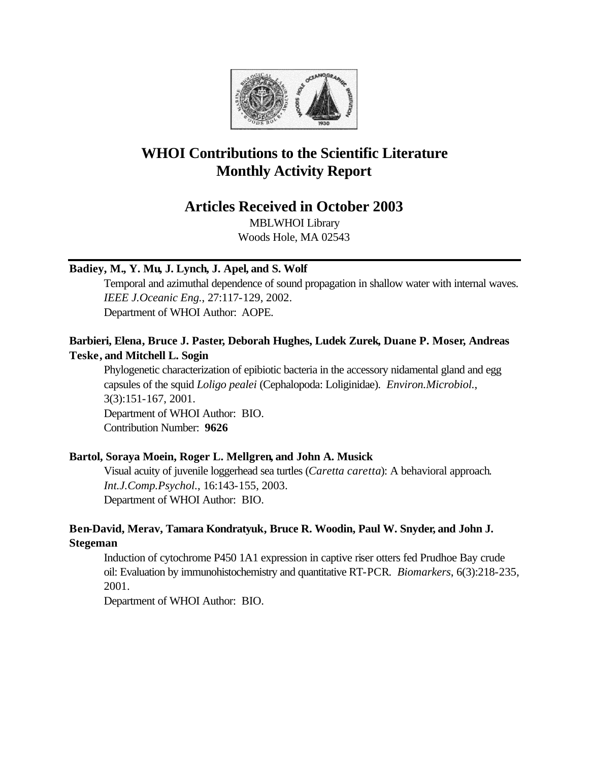

# **WHOI Contributions to the Scientific Literature Monthly Activity Report**

# **Articles Received in October 2003**

MBLWHOI Library Woods Hole, MA 02543

# **Badiey, M., Y. Mu, J. Lynch, J. Apel, and S. Wolf**

Temporal and azimuthal dependence of sound propagation in shallow water with internal waves. *IEEE J.Oceanic Eng.*, 27:117-129, 2002. Department of WHOI Author: AOPE.

# **Barbieri, Elena, Bruce J. Paster, Deborah Hughes, Ludek Zurek, Duane P. Moser, Andreas Teske, and Mitchell L. Sogin**

Phylogenetic characterization of epibiotic bacteria in the accessory nidamental gland and egg capsules of the squid *Loligo pealei* (Cephalopoda: Loliginidae). *Environ.Microbiol.*, 3(3):151-167, 2001. Department of WHOI Author: BIO. Contribution Number: **9626**

# **Bartol, Soraya Moein, Roger L. Mellgren, and John A. Musick**

Visual acuity of juvenile loggerhead sea turtles (*Caretta caretta*): A behavioral approach. *Int.J.Comp.Psychol.*, 16:143-155, 2003. Department of WHOI Author: BIO.

# **Ben-David, Merav, Tamara Kondratyuk, Bruce R. Woodin, Paul W. Snyder, and John J. Stegeman**

Induction of cytochrome P450 1A1 expression in captive riser otters fed Prudhoe Bay crude oil: Evaluation by immunohistochemistry and quantitative RT-PCR. *Biomarkers*, 6(3):218-235, 2001.

Department of WHOI Author: BIO.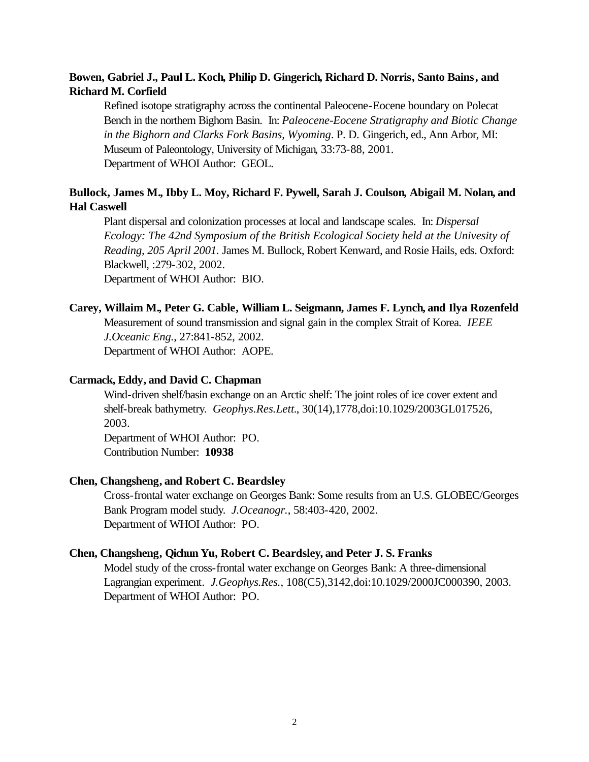# **Bowen, Gabriel J., Paul L. Koch, Philip D. Gingerich, Richard D. Norris, Santo Bains, and Richard M. Corfield**

Refined isotope stratigraphy across the continental Paleocene-Eocene boundary on Polecat Bench in the northern Bighorn Basin. In: *Paleocene-Eocene Stratigraphy and Biotic Change in the Bighorn and Clarks Fork Basins, Wyoming*. P. D. Gingerich, ed., Ann Arbor, MI: Museum of Paleontology, University of Michigan, 33:73-88, 2001. Department of WHOI Author: GEOL.

# **Bullock, James M., Ibby L. Moy, Richard F. Pywell, Sarah J. Coulson, Abigail M. Nolan, and Hal Caswell**

Plant dispersal and colonization processes at local and landscape scales. In: *Dispersal Ecology: The 42nd Symposium of the British Ecological Society held at the Univesity of Reading, 205 April 2001.* James M. Bullock, Robert Kenward, and Rosie Hails, eds. Oxford: Blackwell, :279-302, 2002.

Department of WHOI Author: BIO.

# **Carey, Willaim M., Peter G. Cable, William L. Seigmann, James F. Lynch, and Ilya Rozenfeld**

Measurement of sound transmission and signal gain in the complex Strait of Korea. *IEEE J.Oceanic Eng.*, 27:841-852, 2002. Department of WHOI Author: AOPE.

# **Carmack, Eddy, and David C. Chapman**

Wind-driven shelf/basin exchange on an Arctic shelf: The joint roles of ice cover extent and shelf-break bathymetry. *Geophys.Res.Lett.*, 30(14),1778,doi:10.1029/2003GL017526, 2003.

Department of WHOI Author: PO. Contribution Number: **10938**

## **Chen, Changsheng, and Robert C. Beardsley**

Cross-frontal water exchange on Georges Bank: Some results from an U.S. GLOBEC/Georges Bank Program model study. *J.Oceanogr.*, 58:403-420, 2002. Department of WHOI Author: PO.

### **Chen, Changsheng, Qichun Yu, Robert C. Beardsley, and Peter J. S. Franks**

Model study of the cross-frontal water exchange on Georges Bank: A three-dimensional Lagrangian experiment. *J.Geophys.Res.*, 108(C5),3142,doi:10.1029/2000JC000390, 2003. Department of WHOI Author: PO.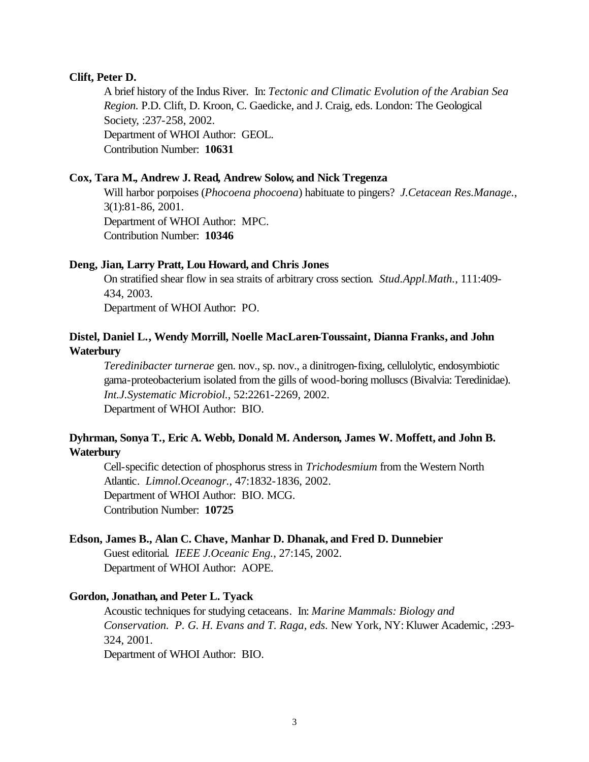### **Clift, Peter D.**

A brief history of the Indus River. In: *Tectonic and Climatic Evolution of the Arabian Sea Region.* P.D. Clift, D. Kroon, C. Gaedicke, and J. Craig, eds. London: The Geological Society, :237-258, 2002. Department of WHOI Author: GEOL. Contribution Number: **10631**

#### **Cox, Tara M., Andrew J. Read, Andrew Solow, and Nick Tregenza**

Will harbor porpoises (*Phocoena phocoena*) habituate to pingers? *J.Cetacean Res.Manage.*, 3(1):81-86, 2001. Department of WHOI Author: MPC. Contribution Number: **10346**

## **Deng, Jian, Larry Pratt, Lou Howard, and Chris Jones**

On stratified shear flow in sea straits of arbitrary cross section. *Stud.Appl.Math.*, 111:409- 434, 2003.

Department of WHOI Author: PO.

# **Distel, Daniel L., Wendy Morrill, Noelle MacLaren-Toussaint, Dianna Franks, and John Waterbury**

*Teredinibacter turnerae* gen. nov., sp. nov., a dinitrogen-fixing, cellulolytic, endosymbiotic gama-proteobacterium isolated from the gills of wood-boring molluscs (Bivalvia: Teredinidae). *Int.J.Systematic Microbiol.*, 52:2261-2269, 2002. Department of WHOI Author: BIO.

# **Dyhrman, Sonya T., Eric A. Webb, Donald M. Anderson, James W. Moffett, and John B. Waterbury**

Cell-specific detection of phosphorus stress in *Trichodesmium* from the Western North Atlantic. *Limnol.Oceanogr.*, 47:1832-1836, 2002. Department of WHOI Author: BIO. MCG. Contribution Number: **10725**

#### **Edson, James B., Alan C. Chave, Manhar D. Dhanak, and Fred D. Dunnebier**

Guest editorial. *IEEE J.Oceanic Eng.*, 27:145, 2002. Department of WHOI Author: AOPE.

#### **Gordon, Jonathan, and Peter L. Tyack**

Acoustic techniques for studying cetaceans. In: *Marine Mammals: Biology and Conservation. P. G. H. Evans and T. Raga, eds.* New York, NY: Kluwer Academic, :293- 324, 2001.

Department of WHOI Author: BIO.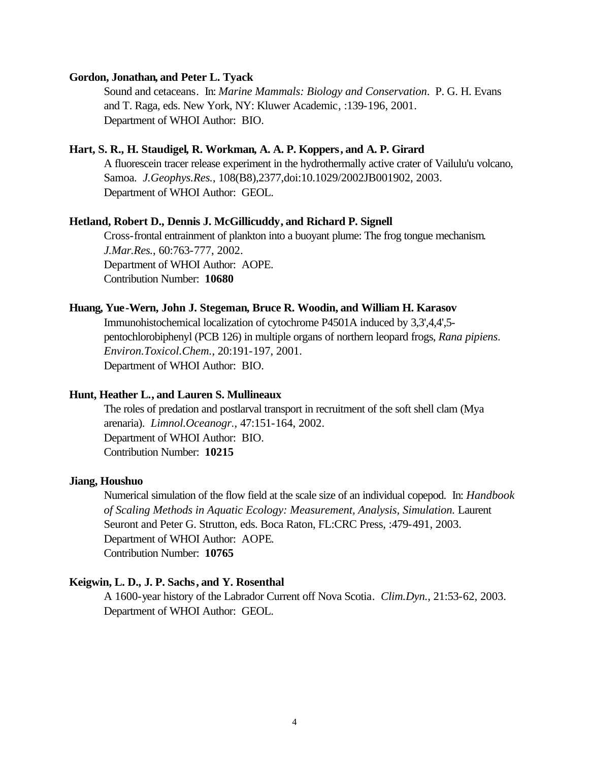#### **Gordon, Jonathan, and Peter L. Tyack**

Sound and cetaceans. In: *Marine Mammals: Biology and Conservation*. P. G. H. Evans and T. Raga, eds. New York, NY: Kluwer Academic, :139-196, 2001. Department of WHOI Author: BIO.

### **Hart, S. R., H. Staudigel, R. Workman, A. A. P. Koppers, and A. P. Girard**

A fluorescein tracer release experiment in the hydrothermally active crater of Vailulu'u volcano, Samoa. *J.Geophys.Res.*, 108(B8),2377,doi:10.1029/2002JB001902, 2003. Department of WHOI Author: GEOL.

### **Hetland, Robert D., Dennis J. McGillicuddy, and Richard P. Signell**

Cross-frontal entrainment of plankton into a buoyant plume: The frog tongue mechanism. *J.Mar.Res.*, 60:763-777, 2002. Department of WHOI Author: AOPE. Contribution Number: **10680**

#### **Huang, Yue-Wern, John J. Stegeman, Bruce R. Woodin, and William H. Karasov**

Immunohistochemical localization of cytochrome P4501A induced by 3,3',4,4',5 pentochlorobiphenyl (PCB 126) in multiple organs of northern leopard frogs, *Rana pipiens*. *Environ.Toxicol.Chem.*, 20:191-197, 2001. Department of WHOI Author: BIO.

### **Hunt, Heather L., and Lauren S. Mullineaux**

The roles of predation and postlarval transport in recruitment of the soft shell clam (Mya arenaria). *Limnol.Oceanogr.*, 47:151-164, 2002. Department of WHOI Author: BIO. Contribution Number: **10215**

#### **Jiang, Houshuo**

Numerical simulation of the flow field at the scale size of an individual copepod. In: *Handbook of Scaling Methods in Aquatic Ecology: Measurement, Analysis, Simulation.* Laurent Seuront and Peter G. Strutton, eds. Boca Raton, FL:CRC Press, :479-491, 2003. Department of WHOI Author: AOPE. Contribution Number: **10765**

#### **Keigwin, L. D., J. P. Sachs, and Y. Rosenthal**

A 1600-year history of the Labrador Current off Nova Scotia. *Clim.Dyn.*, 21:53-62, 2003. Department of WHOI Author: GEOL.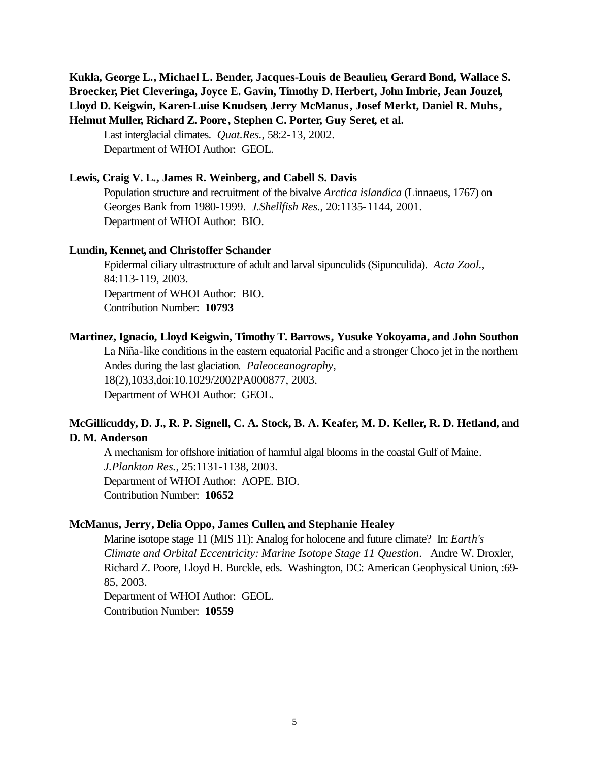**Kukla, George L., Michael L. Bender, Jacques-Louis de Beaulieu, Gerard Bond, Wallace S. Broecker, Piet Cleveringa, Joyce E. Gavin, Timothy D. Herbert, John Imbrie, Jean Jouzel, Lloyd D. Keigwin, Karen-Luise Knudsen, Jerry McManus, Josef Merkt, Daniel R. Muhs, Helmut Muller, Richard Z. Poore, Stephen C. Porter, Guy Seret, et al.**

Last interglacial climates. *Quat.Res.*, 58:2-13, 2002. Department of WHOI Author: GEOL.

#### **Lewis, Craig V. L., James R. Weinberg, and Cabell S. Davis**

Population structure and recruitment of the bivalve *Arctica islandica* (Linnaeus, 1767) on Georges Bank from 1980-1999. *J.Shellfish Res.*, 20:1135-1144, 2001. Department of WHOI Author: BIO.

### **Lundin, Kennet, and Christoffer Schander**

Epidermal ciliary ultrastructure of adult and larval sipunculids (Sipunculida). *Acta Zool.*, 84:113-119, 2003. Department of WHOI Author: BIO. Contribution Number: **10793**

### **Martinez, Ignacio, Lloyd Keigwin, Timothy T. Barrows, Yusuke Yokoyama, and John Southon**

La Niña-like conditions in the eastern equatorial Pacific and a stronger Choco jet in the northern Andes during the last glaciation. *Paleoceanography*, 18(2),1033,doi:10.1029/2002PA000877, 2003. Department of WHOI Author: GEOL.

# **McGillicuddy, D. J., R. P. Signell, C. A. Stock, B. A. Keafer, M. D. Keller, R. D. Hetland, and D. M. Anderson**

A mechanism for offshore initiation of harmful algal blooms in the coastal Gulf of Maine. *J.Plankton Res.*, 25:1131-1138, 2003. Department of WHOI Author: AOPE. BIO. Contribution Number: **10652**

### **McManus, Jerry, Delia Oppo, James Cullen, and Stephanie Healey**

Marine isotope stage 11 (MIS 11): Analog for holocene and future climate? In: *Earth's Climate and Orbital Eccentricity: Marine Isotope Stage 11 Question*. Andre W. Droxler, Richard Z. Poore, Lloyd H. Burckle, eds. Washington, DC: American Geophysical Union, :69- 85, 2003.

Department of WHOI Author: GEOL. Contribution Number: **10559**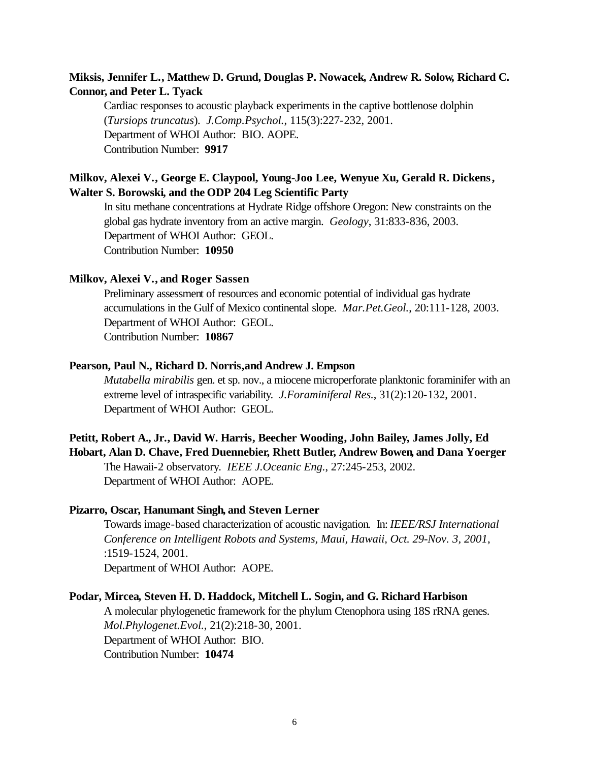# **Miksis, Jennifer L., Matthew D. Grund, Douglas P. Nowacek, Andrew R. Solow, Richard C. Connor, and Peter L. Tyack**

Cardiac responses to acoustic playback experiments in the captive bottlenose dolphin (*Tursiops truncatus*). *J.Comp.Psychol.*, 115(3):227-232, 2001. Department of WHOI Author: BIO. AOPE. Contribution Number: **9917**

# **Milkov, Alexei V., George E. Claypool, Young-Joo Lee, Wenyue Xu, Gerald R. Dickens, Walter S. Borowski, and the ODP 204 Leg Scientific Party**

In situ methane concentrations at Hydrate Ridge offshore Oregon: New constraints on the global gas hydrate inventory from an active margin. *Geology*, 31:833-836, 2003. Department of WHOI Author: GEOL. Contribution Number: **10950**

#### **Milkov, Alexei V., and Roger Sassen**

Preliminary assessment of resources and economic potential of individual gas hydrate accumulations in the Gulf of Mexico continental slope. *Mar.Pet.Geol.*, 20:111-128, 2003. Department of WHOI Author: GEOL. Contribution Number: **10867**

### **Pearson, Paul N., Richard D. Norris,and Andrew J. Empson**

*Mutabella mirabilis* gen. et sp. nov., a miocene microperforate planktonic foraminifer with an extreme level of intraspecific variability. *J.Foraminiferal Res.*, 31(2):120-132, 2001. Department of WHOI Author: GEOL.

## **Petitt, Robert A., Jr., David W. Harris, Beecher Wooding, John Bailey, James Jolly, Ed Hobart, Alan D. Chave, Fred Duennebier, Rhett Butler, Andrew Bowen, and Dana Yoerger**

The Hawaii-2 observatory. *IEEE J.Oceanic Eng.*, 27:245-253, 2002. Department of WHOI Author: AOPE.

## **Pizarro, Oscar, Hanumant Singh, and Steven Lerner**

Towards image-based characterization of acoustic navigation. In: *IEEE/RSJ International Conference on Intelligent Robots and Systems, Maui, Hawaii, Oct. 29-Nov. 3, 2001*, :1519-1524, 2001. Department of WHOI Author: AOPE.

### **Podar, Mircea, Steven H. D. Haddock, Mitchell L. Sogin, and G. Richard Harbison**

A molecular phylogenetic framework for the phylum Ctenophora using 18S rRNA genes. *Mol.Phylogenet.Evol.*, 21(2):218-30, 2001. Department of WHOI Author: BIO. Contribution Number: **10474**